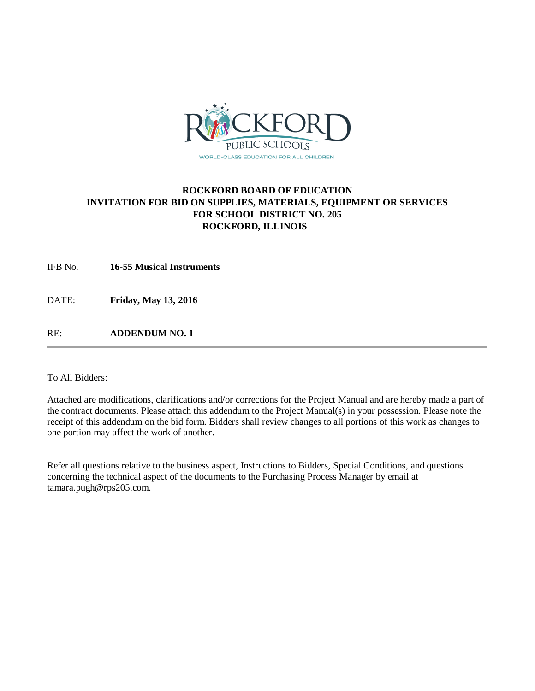

# **ROCKFORD BOARD OF EDUCATION INVITATION FOR BID ON SUPPLIES, MATERIALS, EQUIPMENT OR SERVICES FOR SCHOOL DISTRICT NO. 205 ROCKFORD, ILLINOIS**

IFB No. **16-55 Musical Instruments**

DATE: **Friday, May 13, 2016**

RE: **ADDENDUM NO. 1**

To All Bidders:

Attached are modifications, clarifications and/or corrections for the Project Manual and are hereby made a part of the contract documents. Please attach this addendum to the Project Manual(s) in your possession. Please note the receipt of this addendum on the bid form. Bidders shall review changes to all portions of this work as changes to one portion may affect the work of another.

Refer all questions relative to the business aspect, Instructions to Bidders, Special Conditions, and questions concerning the technical aspect of the documents to the Purchasing Process Manager by email at tamara.pugh@rps205.com.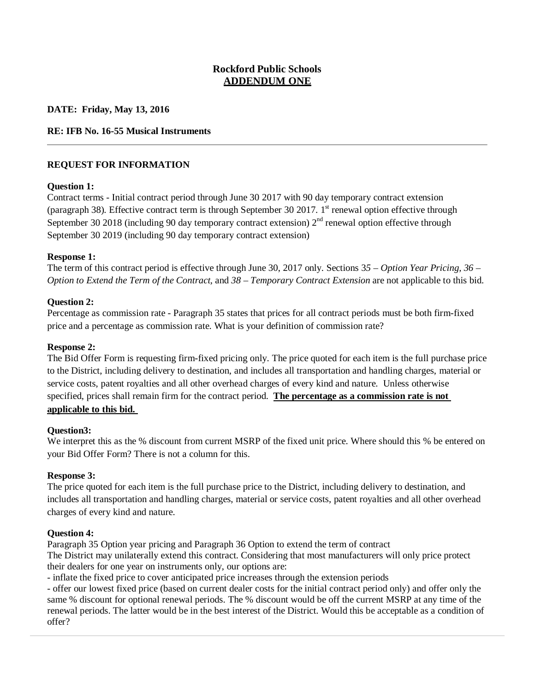# **Rockford Public Schools ADDENDUM ONE**

**DATE: Friday, May 13, 2016**

## **RE: IFB No. 16-55 Musical Instruments**

## **REQUEST FOR INFORMATION**

### **Question 1:**

Contract terms - Initial contract period through June 30 2017 with 90 day temporary contract extension (paragraph 38). Effective contract term is through September 30 2017. 1<sup>st</sup> renewal option effective through September 30 2018 (including 90 day temporary contract extension)  $2<sup>nd</sup>$  renewal option effective through September 30 2019 (including 90 day temporary contract extension)

### **Response 1:**

The term of this contract period is effective through June 30, 2017 only. Sections 3*5 – Option Year Pricing, 36 – Option to Extend the Term of the Contract,* and *38 – Temporary Contract Extension* are not applicable to this bid.

### **Question 2:**

Percentage as commission rate - Paragraph 35 states that prices for all contract periods must be both firm-fixed price and a percentage as commission rate. What is your definition of commission rate?

#### **Response 2:**

The Bid Offer Form is requesting firm-fixed pricing only. The price quoted for each item is the full purchase price to the District, including delivery to destination, and includes all transportation and handling charges, material or service costs, patent royalties and all other overhead charges of every kind and nature. Unless otherwise specified, prices shall remain firm for the contract period. **The percentage as a commission rate is not applicable to this bid.** 

#### **Question3:**

We interpret this as the % discount from current MSRP of the fixed unit price. Where should this % be entered on your Bid Offer Form? There is not a column for this.

#### **Response 3:**

The price quoted for each item is the full purchase price to the District, including delivery to destination, and includes all transportation and handling charges, material or service costs, patent royalties and all other overhead charges of every kind and nature.

#### **Question 4:**

Paragraph 35 Option year pricing and Paragraph 36 Option to extend the term of contract The District may unilaterally extend this contract. Considering that most manufacturers will only price protect their dealers for one year on instruments only, our options are:

- inflate the fixed price to cover anticipated price increases through the extension periods

- offer our lowest fixed price (based on current dealer costs for the initial contract period only) and offer only the same % discount for optional renewal periods. The % discount would be off the current MSRP at any time of the renewal periods. The latter would be in the best interest of the District. Would this be acceptable as a condition of offer?